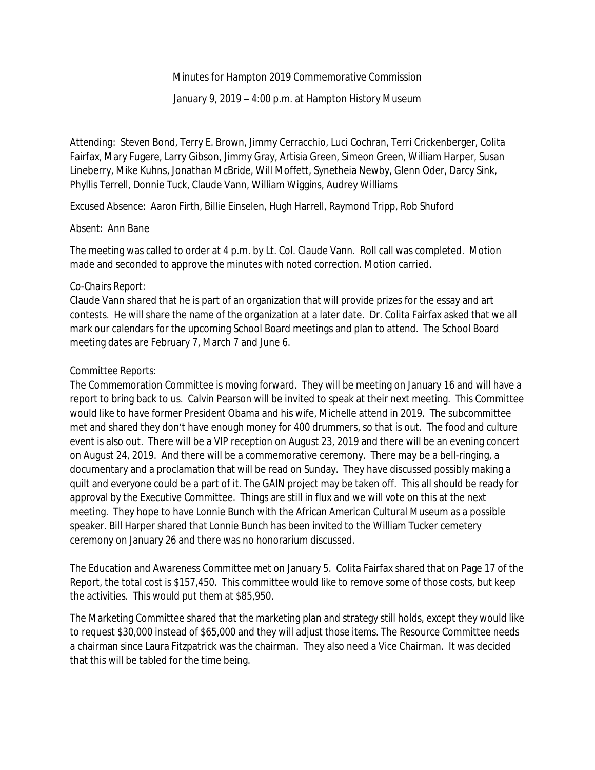Minutes for Hampton 2019 Commemorative Commission

January 9, 2019 – 4:00 p.m. at Hampton History Museum

*Attending:* Steven Bond, Terry E. Brown, Jimmy Cerracchio, Luci Cochran, Terri Crickenberger, Colita Fairfax, Mary Fugere, Larry Gibson, Jimmy Gray, Artisia Green, Simeon Green, William Harper, Susan Lineberry, Mike Kuhns, Jonathan McBride, Will Moffett, Synetheia Newby, Glenn Oder, Darcy Sink, Phyllis Terrell, Donnie Tuck, Claude Vann, William Wiggins, Audrey Williams

*Excused Absence:* Aaron Firth, Billie Einselen, Hugh Harrell, Raymond Tripp, Rob Shuford

### *Absent:* Ann Bane

The meeting was called to order at 4 p.m. by Lt. Col. Claude Vann. Roll call was completed. Motion made and seconded to approve the minutes with noted correction. Motion carried.

# *Co-Chairs Report:*

Claude Vann shared that he is part of an organization that will provide prizes for the essay and art contests. He will share the name of the organization at a later date. Dr. Colita Fairfax asked that we all mark our calendars for the upcoming School Board meetings and plan to attend. The School Board meeting dates are February 7, March 7 and June 6.

# *Committee Reports:*

The Commemoration Committee is moving forward. They will be meeting on January 16 and will have a report to bring back to us. Calvin Pearson will be invited to speak at their next meeting. This Committee would like to have former President Obama and his wife, Michelle attend in 2019. The subcommittee met and shared they don't have enough money for 400 drummers, so that is out. The food and culture event is also out. There will be a VIP reception on August 23, 2019 and there will be an evening concert on August 24, 2019. And there will be a commemorative ceremony. There may be a bell-ringing, a documentary and a proclamation that will be read on Sunday. They have discussed possibly making a quilt and everyone could be a part of it. The GAIN project may be taken off. This all should be ready for approval by the Executive Committee. Things are still in flux and we will vote on this at the next meeting. They hope to have Lonnie Bunch with the African American Cultural Museum as a possible speaker. Bill Harper shared that Lonnie Bunch has been invited to the William Tucker cemetery ceremony on January 26 and there was no honorarium discussed.

The Education and Awareness Committee met on January 5. Colita Fairfax shared that on Page 17 of the Report, the total cost is \$157,450. This committee would like to remove some of those costs, but keep the activities. This would put them at \$85,950.

The Marketing Committee shared that the marketing plan and strategy still holds, except they would like to request \$30,000 instead of \$65,000 and they will adjust those items. The Resource Committee needs a chairman since Laura Fitzpatrick was the chairman. They also need a Vice Chairman. It was decided that this will be tabled for the time being.